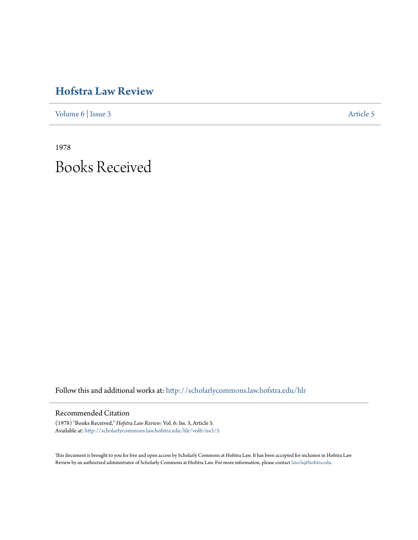## **[Hofstra Law Review](http://scholarlycommons.law.hofstra.edu/hlr?utm_source=scholarlycommons.law.hofstra.edu%2Fhlr%2Fvol6%2Fiss3%2F5&utm_medium=PDF&utm_campaign=PDFCoverPages)**

[Volume 6](http://scholarlycommons.law.hofstra.edu/hlr/vol6?utm_source=scholarlycommons.law.hofstra.edu%2Fhlr%2Fvol6%2Fiss3%2F5&utm_medium=PDF&utm_campaign=PDFCoverPages) | [Issue 3](http://scholarlycommons.law.hofstra.edu/hlr/vol6/iss3?utm_source=scholarlycommons.law.hofstra.edu%2Fhlr%2Fvol6%2Fiss3%2F5&utm_medium=PDF&utm_campaign=PDFCoverPages) [Article 5](http://scholarlycommons.law.hofstra.edu/hlr/vol6/iss3/5?utm_source=scholarlycommons.law.hofstra.edu%2Fhlr%2Fvol6%2Fiss3%2F5&utm_medium=PDF&utm_campaign=PDFCoverPages)

1978 Books Received

Follow this and additional works at: [http://scholarlycommons.law.hofstra.edu/hlr](http://scholarlycommons.law.hofstra.edu/hlr?utm_source=scholarlycommons.law.hofstra.edu%2Fhlr%2Fvol6%2Fiss3%2F5&utm_medium=PDF&utm_campaign=PDFCoverPages)

## Recommended Citation

(1978) "Books Received," *Hofstra Law Review*: Vol. 6: Iss. 3, Article 5. Available at: [http://scholarlycommons.law.hofstra.edu/hlr/vol6/iss3/5](http://scholarlycommons.law.hofstra.edu/hlr/vol6/iss3/5?utm_source=scholarlycommons.law.hofstra.edu%2Fhlr%2Fvol6%2Fiss3%2F5&utm_medium=PDF&utm_campaign=PDFCoverPages)

This document is brought to you for free and open access by Scholarly Commons at Hofstra Law. It has been accepted for inclusion in Hofstra Law Review by an authorized administrator of Scholarly Commons at Hofstra Law. For more information, please contact [lawcls@hofstra.edu](mailto:lawcls@hofstra.edu).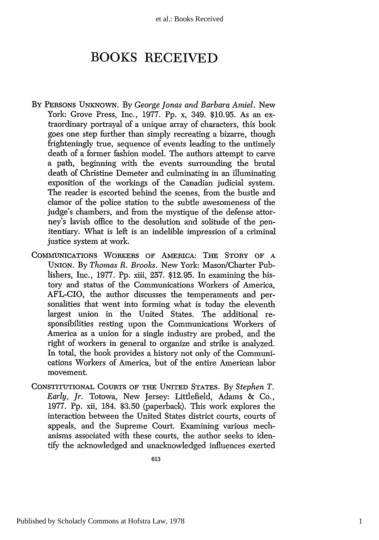## **BOOKS RECEIVED**

- By **PERSONS UNKNOWN.** By *George Jonas and Barbara Amiel.* New York: Grove Press, Inc., 1977. Pp. x, 349. \$10.95. As an extraordinary portrayal of a unique array of characters, this book goes one step further than simply recreating a bizarre, though frighteningly true, sequence of events leading to the untimely death of a former fashion model. The authors attempt to carve a path, beginning with the events surrounding the brutal death of Christine Demeter and culminating in an illuminating exposition of the workings of the Canadian judicial system. The reader is escorted behind the scenes, from the bustle and clamor of the police station to the subtle awesomeness of the judge's chambers, and from the mystique of the defense attorney's lavish office to the desolution and solitude of the penitentiary. What is left is an indelible impression of a criminal justice system at work.
- **COMMUNICATIONS** WORKERS OF AMERICA: THE STORY OF **A UNION. By** *Thomas R. Brooks.* New York: Mason/Charter Publishers, Inc., 1977. Pp. xiii, **257.** \$12.95. In examining the history and status of the Communications Workers of America, AFL-CIO, the author discusses the temperaments and personalities that went into forming what is today the eleventh largest union in the United States. The additional responsibilities resting upon the Communications Workers of America as a union for a single industry are probed, and the right of workers in general to organize and strike is analyzed. In total, the book provides a history not only of the Communications Workers of America, but of the entire American labor movement.
- **CONSTITUTIONAL COURTS** OF THE **UNITED** STATES. By *Stephen T. Early, Jr.* Totowa, New Jersey: Littlefield, Adams & Co., 1977. Pp. xii, 184. \$3.50 (paperback). This work explores the interaction between the United States district courts, courts of appeals, and the Supreme Court. Examining various mechanisms associated with these courts, the author seeks to identify the acknowledged and unacknowledged influences exerted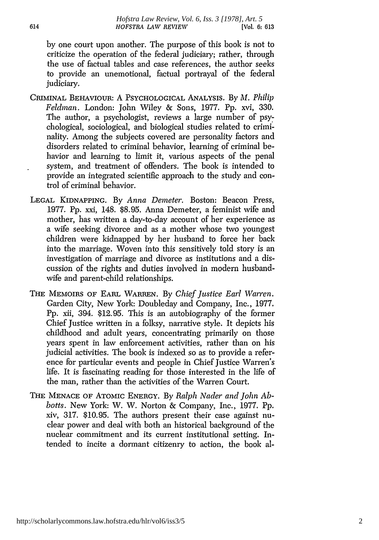by one court upon another. The purpose of this book is not to criticize the operation of the federal judiciary; rather, through the use of factual tables and case references, the author seeks to provide an unemotional, factual portrayal of the federal judiciary.

- CRIMINAL BEHAVIOUR: A PSYCHOLOGICAL ANALYSIS. By *M. Philip Feldman.* London: John Wiley & Sons, 1977. Pp. xvi, 330. The author, a psychologist, reviews a large number of psychological, sociological, and biological studies related to criminality. Among the subjects covered are personality factors and disorders related to criminal behavior, learning of criminal behavior and learning to limit it, various aspects of the penal system, and treatment of offenders. The book is intended to provide an integrated scientific approach to the study and control of criminal behavior.
- **LEGAL** KIDNAPPING. By *Anna Demeter.* Boston: Beacon Press, 1977. Pp. xxi, 148. \$8.95. Anna Demeter, a feminist wife and mother, has written a day-to-day account of her experience as a wife seeking divorce and as a mother whose two youngest children were kidnapped by her husband to force her back into the marriage. Woven into this sensitively told story is an investigation of marriage and divorce as institutions and a discussion of the rights and duties involved in modem husbandwife and parent-child relationships.
- THE MEMOIRS OF EARL WARREN. By *Chief Justice Earl Warren.* Garden City, New York: Doubleday and Company, Inc., 1977. Pp. xii, 394. \$12.95. This is an autobiography of the former Chief Justice written in a folksy, narrative style. It depicts his childhood and adult years, concentrating primarily on those years spent in law enforcement activities, rather than on his judicial activities. The book is indexed so as to provide a reference for particular events and people in Chief Justice Warren's life. It is fascinating reading for those interested in the life of the man, rather than the activities of the Warren Court.
- THE **MENACE** OF ATOMIC ENERGY. By *Ralph Nader and John Abbotts.* New York: W. W. Norton & Company, Inc., 1977. Pp. xiv, 317. \$10.95. The authors present their case against nuclear power and deal with both an historical background of the nuclear commitment and its current institutional setting. Intended to incite a dormant citizenry to action, the book al-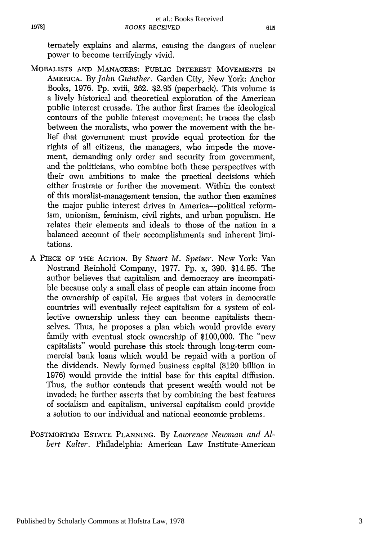ternately explains and alarms, causing the dangers of nuclear power to become terrifyingly vivid.

**19781**

- MORALISTS **AND MANAGERS: PUBLIC** INTEREST **MOVEMENTS IN** AMERICA. By *John Guinther.* Garden City, New York: Anchor Books, 1976. Pp. xviii, 262. \$2.95 (paperback). This volume is a lively historical and theoretical exploration of the American public interest crusade. The author first frames the ideological contours of the public interest movement; he traces the clash between the moralists, who power the movement with the belief that government must provide equal protection for the rights of all citizens, the managers, who impede the movement, demanding only order and security from government, and the politicians, who combine both these perspectives with their own ambitions to make the practical decisions which either frustrate or further the movement. Within the context of this moralist-management tension, the author then examines the major public interest drives in America-political reformism, unionism, feminism, civil rights, and urban populism. He relates their elements and ideals to those of the nation in a balanced account of their accomplishments and inherent limitations.
- A PIECE OF THE ACTION. By *Stuart M. Speiser.* New York: Van Nostrand Reinhold Company, 1977. Pp. x, 390. \$14.95. The author believes that capitalism and democracy are incompatible because only a small class of people can attain income from the ownership of capital. He argues that voters in democratic countries will eventually reject capitalism for a system of collective ownership unless they can become capitalists themselves. Thus, he proposes a plan which would provide every family with eventual stock ownership of \$100,000. The "new capitalists" would purchase this stock through long-term commercial bank loans which would be repaid with a portion of the dividends. Newly formed business capital (\$120 billion in 1976) would provide the initial base for this capital diffusion. Thus, the author contends that present wealth would not be invaded; he further asserts that by combining the best features of socialism and capitalism, universal capitalism could provide a solution to our individual and national economic problems.
- POSTMORTEM **ESTATE PLANNING.** By *Lawrence Newman and Albert Kalter.* Philadelphia: American Law Institute-American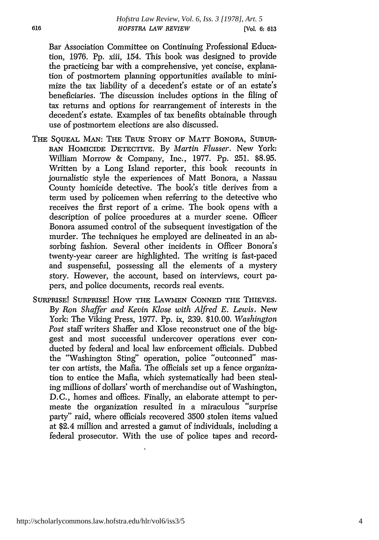Bar Association Committee on Continuing Professional Education, 1976. Pp. xiii, 154. This book was designed to provide the practicing bar with a comprehensive, yet concise, explanation of postmortem planning opportunities available to minimize the tax liability of a decedent's estate or of an estate's beneficiaries. The discussion includes options in the filing of tax returns and options for rearrangement of interests in the decedent's estate. Examples of tax benefits obtainable through use of postmortem elections are also discussed.

- THE SOUEAL MAN: THE TRUE STORY OF MATT BONORA, SUBUR-BAN HOMICIDE DETECTIVE. By *Martin Flusser.* New York: William Morrow & Company, Inc., 1977. Pp. 251. \$8.95. Written by a Long Island reporter, this book recounts in journalistic style the experiences of Matt Bonora, a Nassau County homicide detective. The book's title derives from a term used **by** policemen when referring to the detective who receives the first report of a crime. The book opens with a description of police procedures at a murder scene. Officer Bonora assumed control of the subsequent investigation of the murder. The techniques he employed are delineated in an absorbing fashion. Several other incidents in Officer Bonora's twenty-year career are highlighted. The writing is fast-paced and suspenseful, possessing all the elements of a mystery story. However, the account, based on interviews, court papers, and police documents, records real events.
- SURPRISE! SuRPRIsE! How THE LAWMEN CONNED THE THIEVES. By *Ron Shaffer and Kevin Klose with Alfred E. Lewis.* New York: The Viking Press, 1977. Pp. ix, 239. \$10.00. *Washington Post* staff writers Shaffer and Klose reconstruct one of the biggest and most successful undercover operations ever conducted by federal and local law enforcement officials. Dubbed the "Washington Sting" operation, police "outconned" master con artists, the Mafia. The officials set up a fence organization to entice the Mafia, which systematically had been stealing millions of dollars' worth of merchandise out of Washington, D.C., homes and offices. Finally, an elaborate attempt to permeate the organization resulted in a miraculous "surprise party" raid, where officials recovered 3500 stolen items valued at \$2.4 million and arrested a gamut of individuals, including a federal prosecutor. With the use of police tapes and record-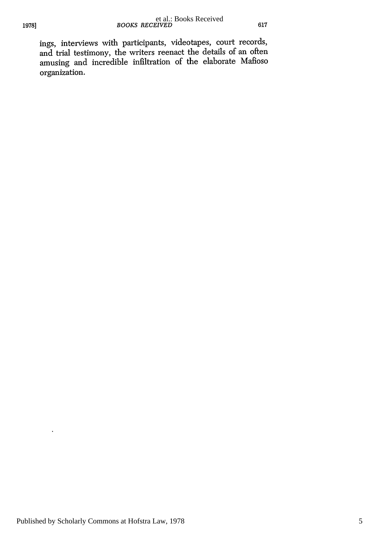ings, interviews with participants, videotapes, court records, and trial testimony, the writers reenact the details of an often amusing and incredible infiltration of the elaborate Mafioso organization.